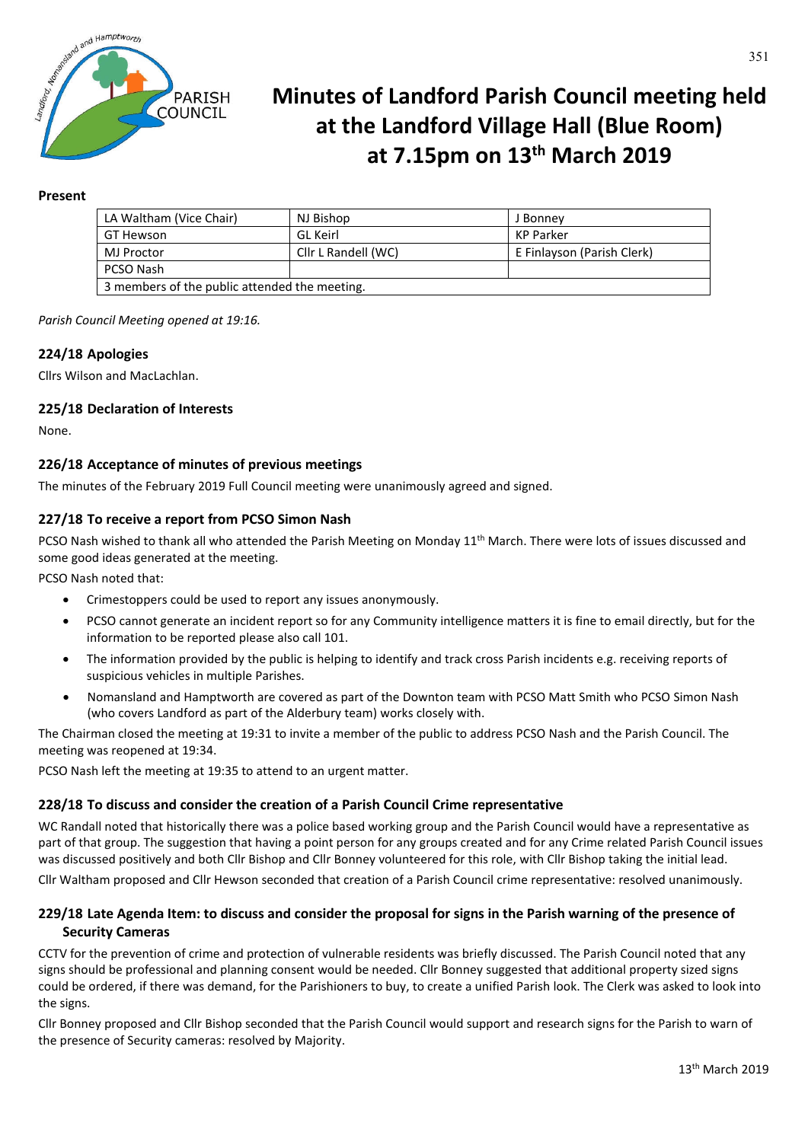

# **Minutes of Landford Parish Council meeting held at the Landford Village Hall (Blue Room) at 7.15pm on 13th March 2019**

## **Present**

| LA Waltham (Vice Chair)                       | NJ Bishop           | J Bonney                   |
|-----------------------------------------------|---------------------|----------------------------|
| GT Hewson                                     | GL Keirl            | KP Parker                  |
| <b>MJ Proctor</b>                             | Cllr L Randell (WC) | E Finlayson (Parish Clerk) |
| PCSO Nash                                     |                     |                            |
| 3 members of the public attended the meeting. |                     |                            |

*Parish Council Meeting opened at 19:16.*

## **224/18 Apologies**

Cllrs Wilson and MacLachlan.

### **225/18 Declaration of Interests**

None.

### **226/18 Acceptance of minutes of previous meetings**

The minutes of the February 2019 Full Council meeting were unanimously agreed and signed.

### **227/18 To receive a report from PCSO Simon Nash**

PCSO Nash wished to thank all who attended the Parish Meeting on Monday 11<sup>th</sup> March. There were lots of issues discussed and some good ideas generated at the meeting.

PCSO Nash noted that:

- Crimestoppers could be used to report any issues anonymously.
- PCSO cannot generate an incident report so for any Community intelligence matters it is fine to email directly, but for the information to be reported please also call 101.
- The information provided by the public is helping to identify and track cross Parish incidents e.g. receiving reports of suspicious vehicles in multiple Parishes.
- Nomansland and Hamptworth are covered as part of the Downton team with PCSO Matt Smith who PCSO Simon Nash (who covers Landford as part of the Alderbury team) works closely with.

The Chairman closed the meeting at 19:31 to invite a member of the public to address PCSO Nash and the Parish Council. The meeting was reopened at 19:34.

PCSO Nash left the meeting at 19:35 to attend to an urgent matter.

# **228/18 To discuss and consider the creation of a Parish Council Crime representative**

WC Randall noted that historically there was a police based working group and the Parish Council would have a representative as part of that group. The suggestion that having a point person for any groups created and for any Crime related Parish Council issues was discussed positively and both Cllr Bishop and Cllr Bonney volunteered for this role, with Cllr Bishop taking the initial lead.

Cllr Waltham proposed and Cllr Hewson seconded that creation of a Parish Council crime representative: resolved unanimously.

# **229/18 Late Agenda Item: to discuss and consider the proposal for signs in the Parish warning of the presence of Security Cameras**

CCTV for the prevention of crime and protection of vulnerable residents was briefly discussed. The Parish Council noted that any signs should be professional and planning consent would be needed. Cllr Bonney suggested that additional property sized signs could be ordered, if there was demand, for the Parishioners to buy, to create a unified Parish look. The Clerk was asked to look into the signs.

Cllr Bonney proposed and Cllr Bishop seconded that the Parish Council would support and research signs for the Parish to warn of the presence of Security cameras: resolved by Majority.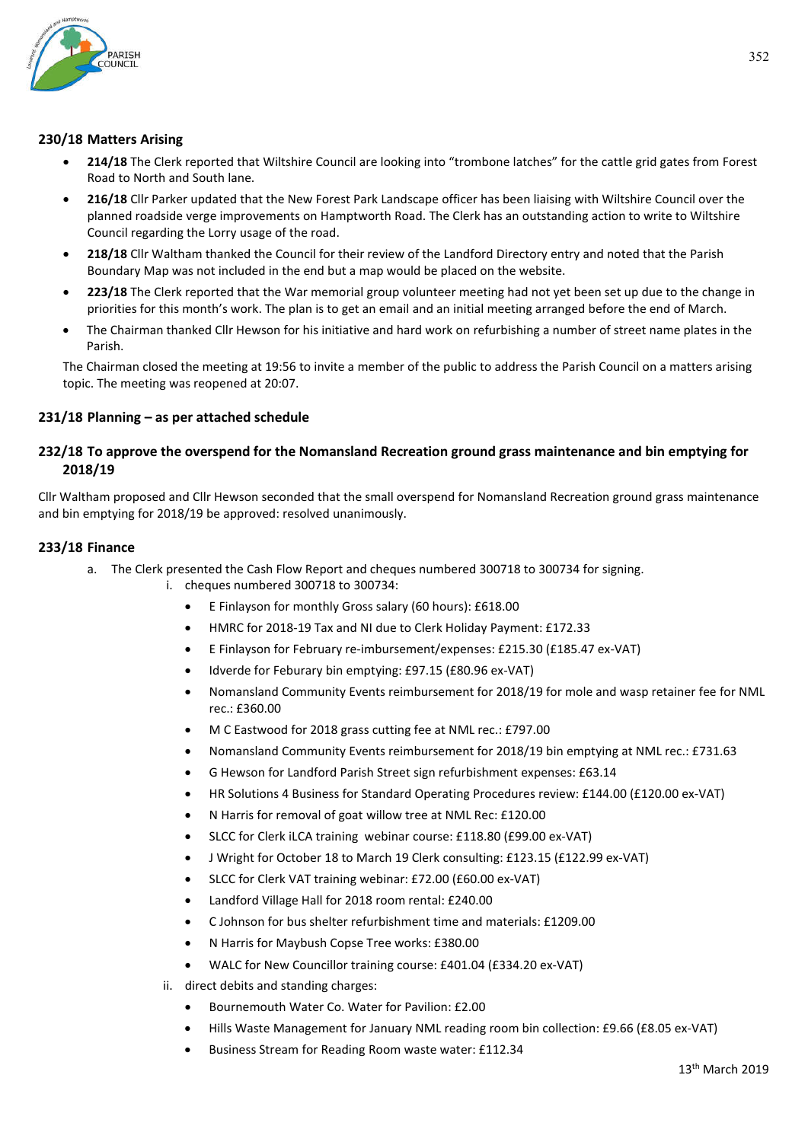

### **230/18 Matters Arising**

- **214/18** The Clerk reported that Wiltshire Council are looking into "trombone latches" for the cattle grid gates from Forest Road to North and South lane.
- **216/18** Cllr Parker updated that the New Forest Park Landscape officer has been liaising with Wiltshire Council over the planned roadside verge improvements on Hamptworth Road. The Clerk has an outstanding action to write to Wiltshire Council regarding the Lorry usage of the road.
- **218/18** Cllr Waltham thanked the Council for their review of the Landford Directory entry and noted that the Parish Boundary Map was not included in the end but a map would be placed on the website.
- **223/18** The Clerk reported that the War memorial group volunteer meeting had not yet been set up due to the change in priorities for this month's work. The plan is to get an email and an initial meeting arranged before the end of March.
- The Chairman thanked Cllr Hewson for his initiative and hard work on refurbishing a number of street name plates in the Parish.

The Chairman closed the meeting at 19:56 to invite a member of the public to address the Parish Council on a matters arising topic. The meeting was reopened at 20:07.

### **231/18 Planning – as per attached schedule**

## **232/18 To approve the overspend for the Nomansland Recreation ground grass maintenance and bin emptying for 2018/19**

Cllr Waltham proposed and Cllr Hewson seconded that the small overspend for Nomansland Recreation ground grass maintenance and bin emptying for 2018/19 be approved: resolved unanimously.

#### **233/18 Finance**

- a. The Clerk presented the Cash Flow Report and cheques numbered 300718 to 300734 for signing.
	- i. cheques numbered 300718 to 300734:
		- E Finlayson for monthly Gross salary (60 hours): £618.00
		- HMRC for 2018-19 Tax and NI due to Clerk Holiday Payment: £172.33
		- E Finlayson for February re-imbursement/expenses: £215.30 (£185.47 ex-VAT)
		- Idverde for Feburary bin emptying: £97.15 (£80.96 ex-VAT)
		- Nomansland Community Events reimbursement for 2018/19 for mole and wasp retainer fee for NML rec.: £360.00
		- M C Eastwood for 2018 grass cutting fee at NML rec.: £797.00
		- Nomansland Community Events reimbursement for 2018/19 bin emptying at NML rec.: £731.63
		- G Hewson for Landford Parish Street sign refurbishment expenses: £63.14
		- HR Solutions 4 Business for Standard Operating Procedures review: £144.00 (£120.00 ex-VAT)
		- N Harris for removal of goat willow tree at NML Rec: £120.00
		- SLCC for Clerk iLCA training webinar course: £118.80 (£99.00 ex-VAT)
		- J Wright for October 18 to March 19 Clerk consulting: £123.15 (£122.99 ex-VAT)
		- SLCC for Clerk VAT training webinar: £72.00 (£60.00 ex-VAT)
		- Landford Village Hall for 2018 room rental: £240.00
		- C Johnson for bus shelter refurbishment time and materials: £1209.00
		- N Harris for Maybush Copse Tree works: £380.00
		- WALC for New Councillor training course: £401.04 (£334.20 ex-VAT)
		- ii. direct debits and standing charges:
			- Bournemouth Water Co. Water for Pavilion: £2.00
			- Hills Waste Management for January NML reading room bin collection: £9.66 (£8.05 ex-VAT)
			- Business Stream for Reading Room waste water: £112.34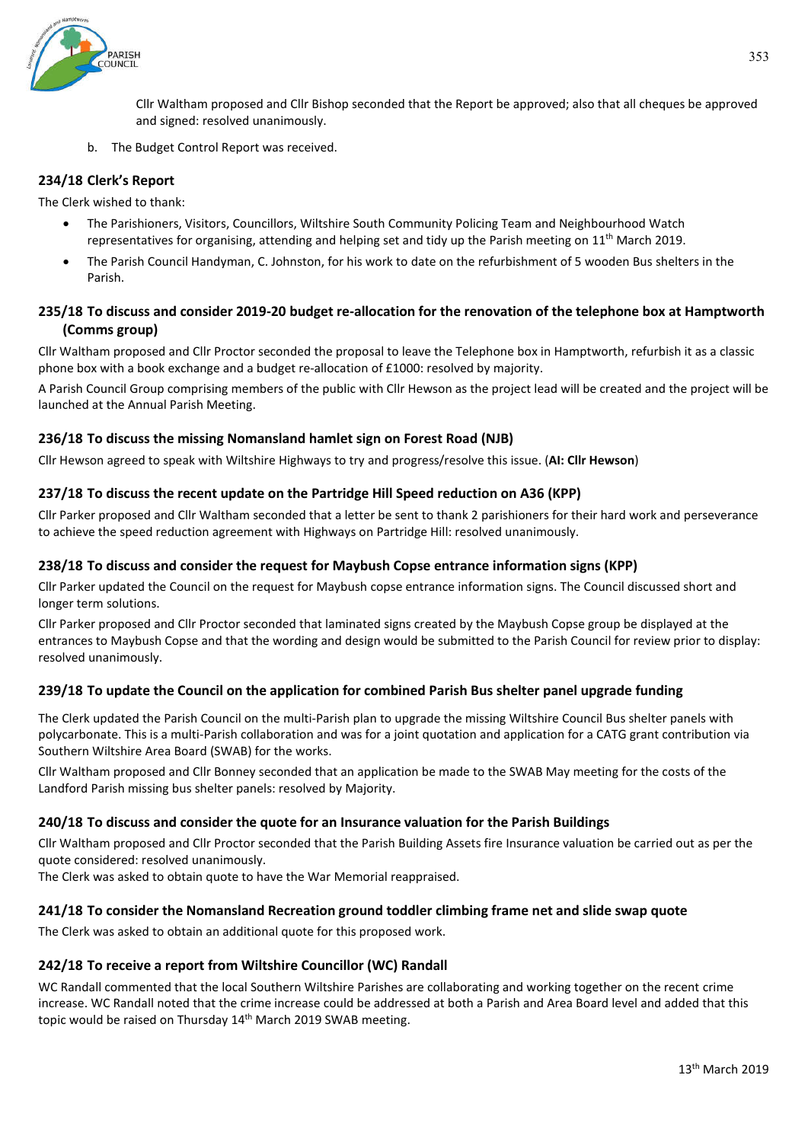

Cllr Waltham proposed and Cllr Bishop seconded that the Report be approved; also that all cheques be approved and signed: resolved unanimously.

b. The Budget Control Report was received.

## **234/18 Clerk's Report**

The Clerk wished to thank:

- The Parishioners, Visitors, Councillors, Wiltshire South Community Policing Team and Neighbourhood Watch representatives for organising, attending and helping set and tidy up the Parish meeting on 11th March 2019.
- The Parish Council Handyman, C. Johnston, for his work to date on the refurbishment of 5 wooden Bus shelters in the Parish.

## **235/18 To discuss and consider 2019-20 budget re-allocation for the renovation of the telephone box at Hamptworth (Comms group)**

Cllr Waltham proposed and Cllr Proctor seconded the proposal to leave the Telephone box in Hamptworth, refurbish it as a classic phone box with a book exchange and a budget re-allocation of £1000: resolved by majority.

A Parish Council Group comprising members of the public with Cllr Hewson as the project lead will be created and the project will be launched at the Annual Parish Meeting.

### **236/18 To discuss the missing Nomansland hamlet sign on Forest Road (NJB)**

Cllr Hewson agreed to speak with Wiltshire Highways to try and progress/resolve this issue. (**AI: Cllr Hewson**)

### **237/18 To discuss the recent update on the Partridge Hill Speed reduction on A36 (KPP)**

Cllr Parker proposed and Cllr Waltham seconded that a letter be sent to thank 2 parishioners for their hard work and perseverance to achieve the speed reduction agreement with Highways on Partridge Hill: resolved unanimously.

#### **238/18 To discuss and consider the request for Maybush Copse entrance information signs (KPP)**

Cllr Parker updated the Council on the request for Maybush copse entrance information signs. The Council discussed short and longer term solutions.

Cllr Parker proposed and Cllr Proctor seconded that laminated signs created by the Maybush Copse group be displayed at the entrances to Maybush Copse and that the wording and design would be submitted to the Parish Council for review prior to display: resolved unanimously.

#### **239/18 To update the Council on the application for combined Parish Bus shelter panel upgrade funding**

The Clerk updated the Parish Council on the multi-Parish plan to upgrade the missing Wiltshire Council Bus shelter panels with polycarbonate. This is a multi-Parish collaboration and was for a joint quotation and application for a CATG grant contribution via Southern Wiltshire Area Board (SWAB) for the works.

Cllr Waltham proposed and Cllr Bonney seconded that an application be made to the SWAB May meeting for the costs of the Landford Parish missing bus shelter panels: resolved by Majority.

#### **240/18 To discuss and consider the quote for an Insurance valuation for the Parish Buildings**

Cllr Waltham proposed and Cllr Proctor seconded that the Parish Building Assets fire Insurance valuation be carried out as per the quote considered: resolved unanimously.

The Clerk was asked to obtain quote to have the War Memorial reappraised.

#### **241/18 To consider the Nomansland Recreation ground toddler climbing frame net and slide swap quote**

The Clerk was asked to obtain an additional quote for this proposed work.

#### **242/18 To receive a report from Wiltshire Councillor (WC) Randall**

WC Randall commented that the local Southern Wiltshire Parishes are collaborating and working together on the recent crime increase. WC Randall noted that the crime increase could be addressed at both a Parish and Area Board level and added that this topic would be raised on Thursday 14<sup>th</sup> March 2019 SWAB meeting.